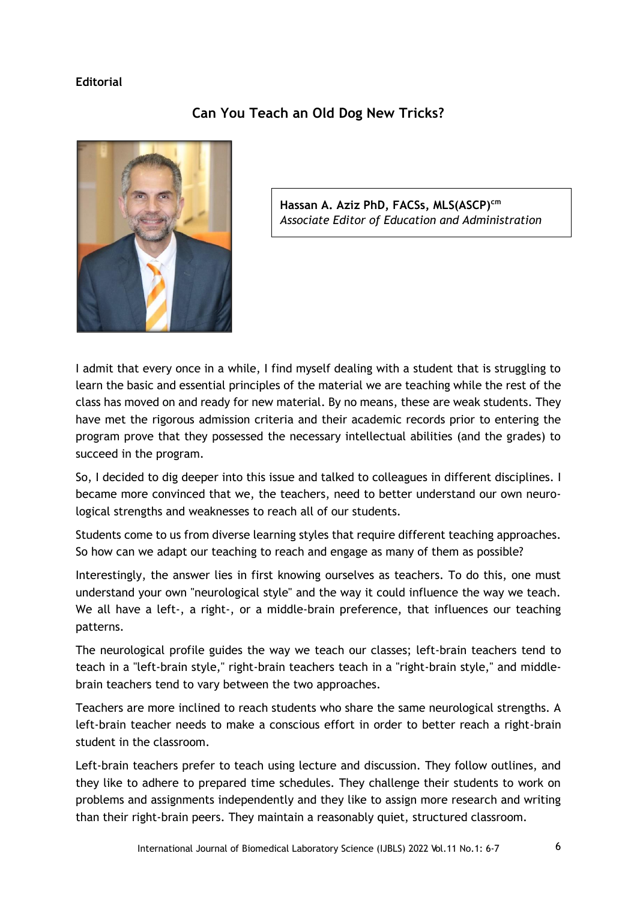## **Editorial**



## **Can You Teach an Old Dog New Tricks?**

**Hassan A. Aziz PhD, FACSs, MLS(ASCP)cm** *Associate Editor of Education and Administration*

I admit that every once in a while, I find myself dealing with a student that is struggling to learn the basic and essential principles of the material we are teaching while the rest of the class has moved on and ready for new material. By no means, these are weak students. They have met the rigorous admission criteria and their academic records prior to entering the program prove that they possessed the necessary intellectual abilities (and the grades) to succeed in the program.

So, I decided to dig deeper into this issue and talked to colleagues in different disciplines. I became more convinced that we, the teachers, need to better understand our own neurological strengths and weaknesses to reach all of our students.

Students come to us from diverse learning styles that require different teaching approaches. So how can we adapt our teaching to reach and engage as many of them as possible?

Interestingly, the answer lies in first knowing ourselves as teachers. To do this, one must understand your own "neurological style" and the way it could influence the way we teach. We all have a left-, a right-, or a middle-brain preference, that influences our teaching patterns.

The neurological profile guides the way we teach our classes; left-brain teachers tend to teach in a "left-brain style," right-brain teachers teach in a "right-brain style," and middlebrain teachers tend to vary between the two approaches.

Teachers are more inclined to reach students who share the same neurological strengths. A left-brain teacher needs to make a conscious effort in order to better reach a right-brain student in the classroom.

Left-brain teachers prefer to teach using lecture and discussion. They follow outlines, and they like to adhere to prepared time schedules. They challenge their students to work on problems and assignments independently and they like to assign more research and writing than their right-brain peers. They maintain a reasonably quiet, structured classroom.